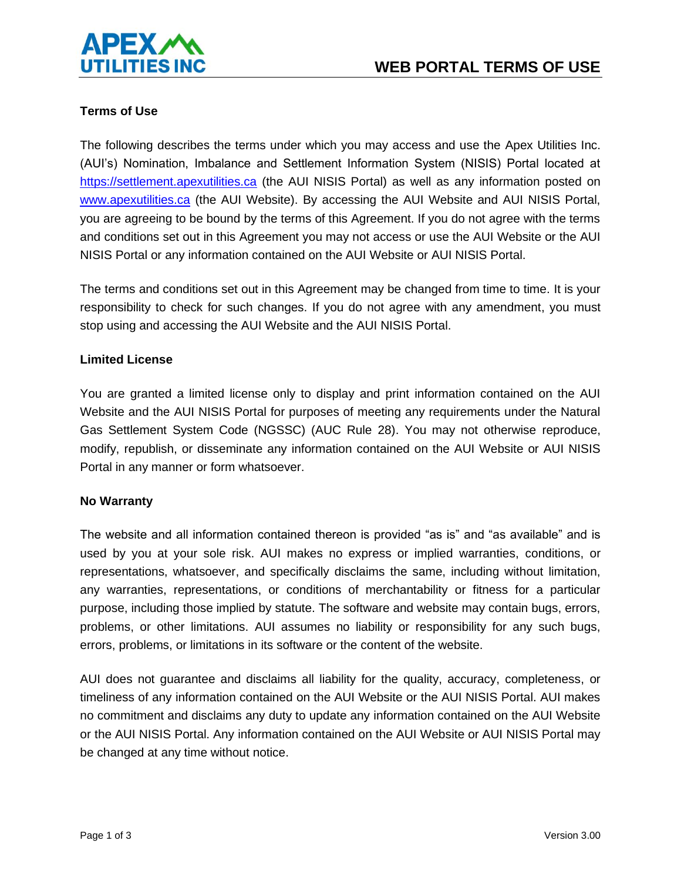

# **Terms of Use**

The following describes the terms under which you may access and use the Apex Utilities Inc. (AUI's) Nomination, Imbalance and Settlement Information System (NISIS) Portal located at [https://settlement.apexutilities.ca](https://settlement.apexutilities.ca/) (the AUI NISIS Portal) as well as any information posted on [www.apexutilities.ca](http://www.apexutilities.ca/) (the AUI Website). By accessing the AUI Website and AUI NISIS Portal, you are agreeing to be bound by the terms of this Agreement. If you do not agree with the terms and conditions set out in this Agreement you may not access or use the AUI Website or the AUI NISIS Portal or any information contained on the AUI Website or AUI NISIS Portal.

The terms and conditions set out in this Agreement may be changed from time to time. It is your responsibility to check for such changes. If you do not agree with any amendment, you must stop using and accessing the AUI Website and the AUI NISIS Portal.

### **Limited License**

You are granted a limited license only to display and print information contained on the AUI Website and the AUI NISIS Portal for purposes of meeting any requirements under the Natural Gas Settlement System Code (NGSSC) (AUC Rule 28). You may not otherwise reproduce, modify, republish, or disseminate any information contained on the AUI Website or AUI NISIS Portal in any manner or form whatsoever.

### **No Warranty**

The website and all information contained thereon is provided "as is" and "as available" and is used by you at your sole risk. AUI makes no express or implied warranties, conditions, or representations, whatsoever, and specifically disclaims the same, including without limitation, any warranties, representations, or conditions of merchantability or fitness for a particular purpose, including those implied by statute. The software and website may contain bugs, errors, problems, or other limitations. AUI assumes no liability or responsibility for any such bugs, errors, problems, or limitations in its software or the content of the website.

AUI does not guarantee and disclaims all liability for the quality, accuracy, completeness, or timeliness of any information contained on the AUI Website or the AUI NISIS Portal. AUI makes no commitment and disclaims any duty to update any information contained on the AUI Website or the AUI NISIS Portal. Any information contained on the AUI Website or AUI NISIS Portal may be changed at any time without notice.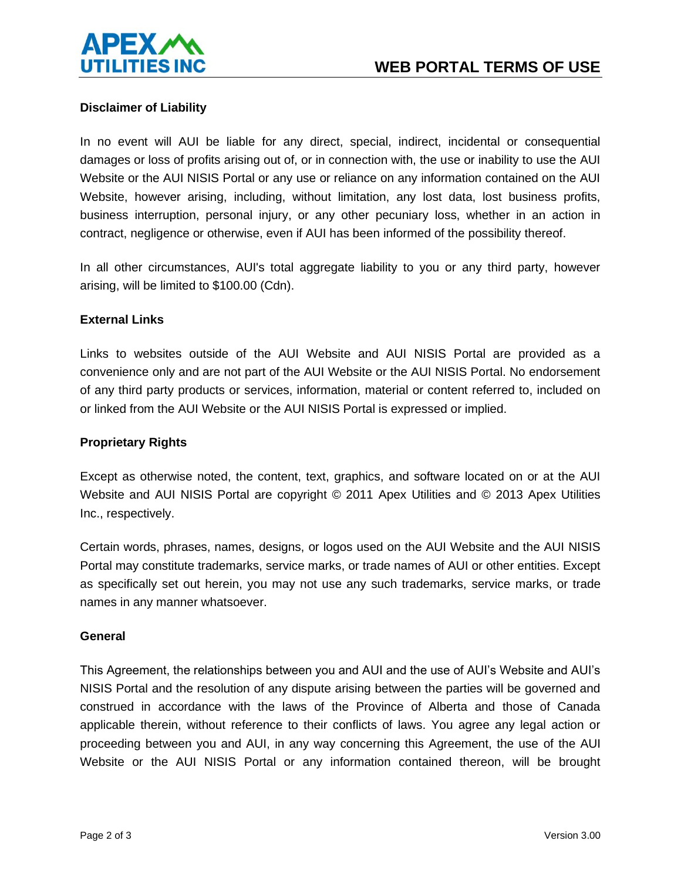

## **Disclaimer of Liability**

In no event will AUI be liable for any direct, special, indirect, incidental or consequential damages or loss of profits arising out of, or in connection with, the use or inability to use the AUI Website or the AUI NISIS Portal or any use or reliance on any information contained on the AUI Website, however arising, including, without limitation, any lost data, lost business profits, business interruption, personal injury, or any other pecuniary loss, whether in an action in contract, negligence or otherwise, even if AUI has been informed of the possibility thereof.

In all other circumstances, AUI's total aggregate liability to you or any third party, however arising, will be limited to \$100.00 (Cdn).

### **External Links**

Links to websites outside of the AUI Website and AUI NISIS Portal are provided as a convenience only and are not part of the AUI Website or the AUI NISIS Portal. No endorsement of any third party products or services, information, material or content referred to, included on or linked from the AUI Website or the AUI NISIS Portal is expressed or implied.

## **Proprietary Rights**

Except as otherwise noted, the content, text, graphics, and software located on or at the AUI Website and AUI NISIS Portal are copyright © 2011 Apex Utilities and © 2013 Apex Utilities Inc., respectively.

Certain words, phrases, names, designs, or logos used on the AUI Website and the AUI NISIS Portal may constitute trademarks, service marks, or trade names of AUI or other entities. Except as specifically set out herein, you may not use any such trademarks, service marks, or trade names in any manner whatsoever.

### **General**

This Agreement, the relationships between you and AUI and the use of AUI's Website and AUI's NISIS Portal and the resolution of any dispute arising between the parties will be governed and construed in accordance with the laws of the Province of Alberta and those of Canada applicable therein, without reference to their conflicts of laws. You agree any legal action or proceeding between you and AUI, in any way concerning this Agreement, the use of the AUI Website or the AUI NISIS Portal or any information contained thereon, will be brought